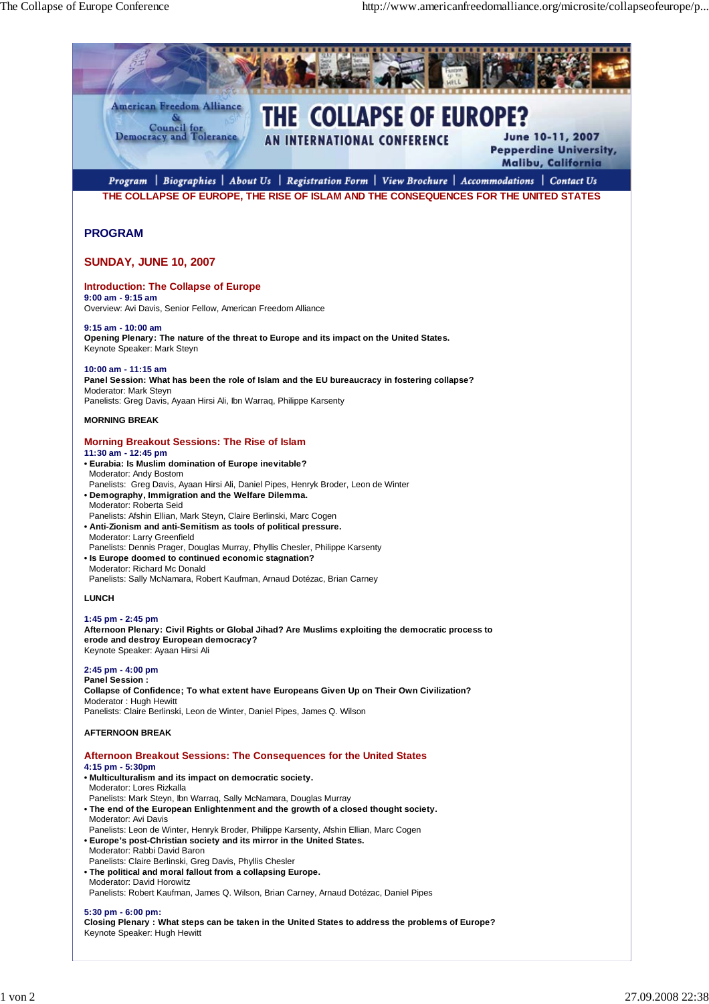